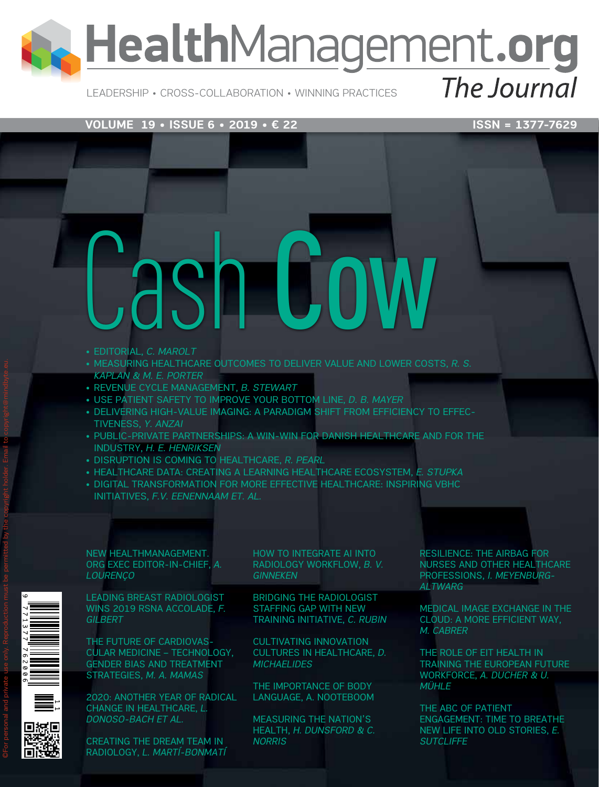# HealthManagement.org

Leadership • Cross-Collaboration • Winning Practices

The Journal

#### **VOLUME 19 • ISSUE 6 • 2019 • € 22** ISSN = 1377-7629

- • EDITORIAL, *C. MAROLT* ash Lo
- • MEASURING HEALTHCARE OUTCOMES TO DELIVER VALUE AND LOWER COSTS, *R. S. KAPLAN & M. E. PORTER*
- • REVENUE CYCLE MANAGEMENT, *B. STEWART*
- • USE PATIENT SAFETY TO IMPROVE YOUR BOTTOM LINE, *D. B. MAYER*
- • DELIVERING HIGH-VALUE IMAGING: A PARADIGM SHIFT FROM EFFICIENCY TO EFFEC-TIVENESS, *Y. ANZAI*
- PUBLIC-PRIVATE PARTNERSHIPS: A WIN-WIN FOR DANISH HEALTHCARE AND FOR THE INDUSTRY, *H. E. HENRIKSEN*
- • DISRUPTION IS COMING TO HEALTHCARE, *R. PEARL*
- • HEALTHCARE DATA: CREATING A LEARNING HEALTHCARE ECOSYSTEM, *E. STUPKA*
- DIGITAL TRANSFORMATION FOR MORE EFFECTIVE HEALTHCARE: INSPIRING VBHC INITIATIVES, *F.V. EENENNAAM ET. AL.*

NEW HEALTHMANAGEMENT. ORG EXEC EDITOR-IN-CHIEF, *A. LOURENÇO*

LEADING BREAST RADIOLOGIST WINS 2019 RSNA ACCOLADE, *F. GILBERT*

THE FUTURE OF CARDIOVAS-CULAR MEDICINE – TECHNOLOGY, GENDER BIAS AND TREATMENT STRATEGIES, *M. A. MAMAS*

2020: ANOTHER YEAR OF RADICAL CHANGE IN HEALTHCARE, *L. DONOSO-BACH ET AL.* 

CREATING THE DREAM TEAM IN RADIOLOGY, *L. MARTÍ-BONMATÍ* HOW TO INTEGRATE AI INTO RADIOLOGY WORKFLOW, *B. V. GINNEKEN*

BRIDGING THE RADIOLOGIST STAFFING GAP WITH NEW TRAINING INITIATIVE, *C. RUBIN*

CULTIVATING INNOVATION CULTURES IN HEALTHCARE, *D. MICHAELIDES*

THE IMPORTANCE OF BODY LANGUAGE, A. NOOTEBOOM

MEASURING THE NATION'S HEALTH, *H. DUNSFORD & C. NORRIS*

RESILIENCE: THE AIRBAG FOR NURSES AND OTHER HEALTHCARE PROFESSIONS, *I. MEYENBURG-ALTWARG*

MEDICAL IMAGE EXCHANGE IN THE CLOUD: A MORE EFFICIENT WAY, *M. CABRER*

THE ROLE OF EIT HEALTH IN TRAINING THE EUROPEAN FUTURE WORKFORCE, *A. DUCHER & U. MÜHLE*

THE ABC OF PATIENT ENGAGEMENT: TIME TO BREATHE NEW LIFE INTO OLD STORIES, *E. SUTCLIFFE*

 $\circ$ For personal and private use only. Reproduction must be permitted by the copyright holder. Email to copyright@mindbyte.eu.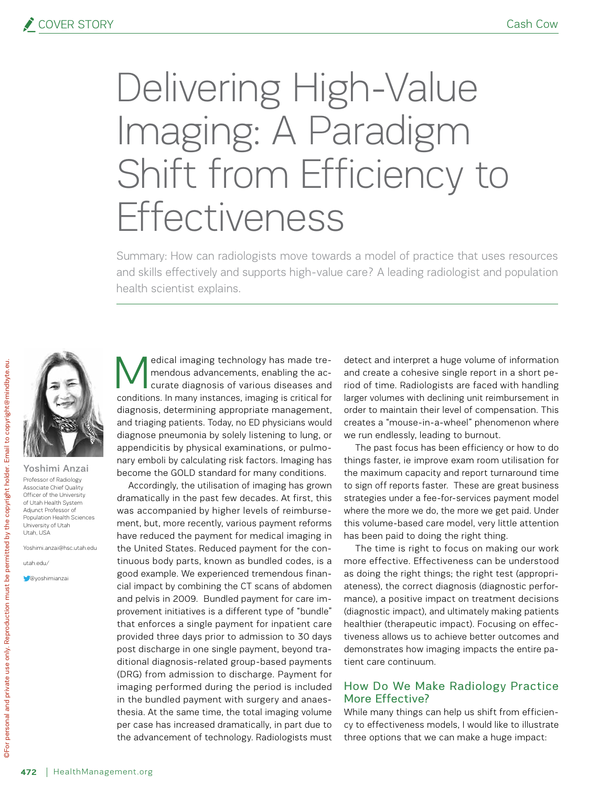## Delivering High-Value Imaging: A Paradigm Shift from Efficiency to Effectiveness

Summary: How can radiologists move towards a model of practice that uses resources and skills effectively and supports high-value care? A leading radiologist and population health scientist explains.



Yoshimi Anzai Professor of Radiology Associate Chief Quality Officer of the University of Utah Health System Adjunct Professor of Population Health Sciences University of Utah Utah, USA

Yoshimi.anzai@hsc.utah.edu

utah.edu/

**C**@yoshimianza

edical imaging technology has made tremendous advancements, enabling the accurate diagnosis of various diseases and conditions. In many instances, imaging is critical for diagnosis, determining appropriate management, and triaging patients. Today, no ED physicians would diagnose pneumonia by solely listening to lung, or appendicitis by physical examinations, or pulmonary emboli by calculating risk factors. Imaging has become the GOLD standard for many conditions.

Accordingly, the utilisation of imaging has grown dramatically in the past few decades. At first, this was accompanied by higher levels of reimbursement, but, more recently, various payment reforms have reduced the payment for medical imaging in the United States. Reduced payment for the continuous body parts, known as bundled codes, is a good example. We experienced tremendous financial impact by combining the CT scans of abdomen and pelvis in 2009. Bundled payment for care improvement initiatives is a different type of "bundle" that enforces a single payment for inpatient care provided three days prior to admission to 30 days post discharge in one single payment, beyond traditional diagnosis-related group-based payments (DRG) from admission to discharge. Payment for imaging performed during the period is included in the bundled payment with surgery and anaesthesia. At the same time, the total imaging volume per case has increased dramatically, in part due to the advancement of technology. Radiologists must detect and interpret a huge volume of information and create a cohesive single report in a short period of time. Radiologists are faced with handling larger volumes with declining unit reimbursement in order to maintain their level of compensation. This creates a "mouse-in-a-wheel" phenomenon where we run endlessly, leading to burnout.

The past focus has been efficiency or how to do things faster, ie improve exam room utilisation for the maximum capacity and report turnaround time to sign off reports faster. These are great business strategies under a fee-for-services payment model where the more we do, the more we get paid. Under this volume-based care model, very little attention has been paid to doing the right thing.

The time is right to focus on making our work more effective. Effectiveness can be understood as doing the right things; the right test (appropriateness), the correct diagnosis (diagnostic performance), a positive impact on treatment decisions (diagnostic impact), and ultimately making patients healthier (therapeutic impact). Focusing on effectiveness allows us to achieve better outcomes and demonstrates how imaging impacts the entire patient care continuum.

#### How Do We Make Radiology Practice More Effective?

While many things can help us shift from efficiency to effectiveness models, I would like to illustrate three options that we can make a huge impact: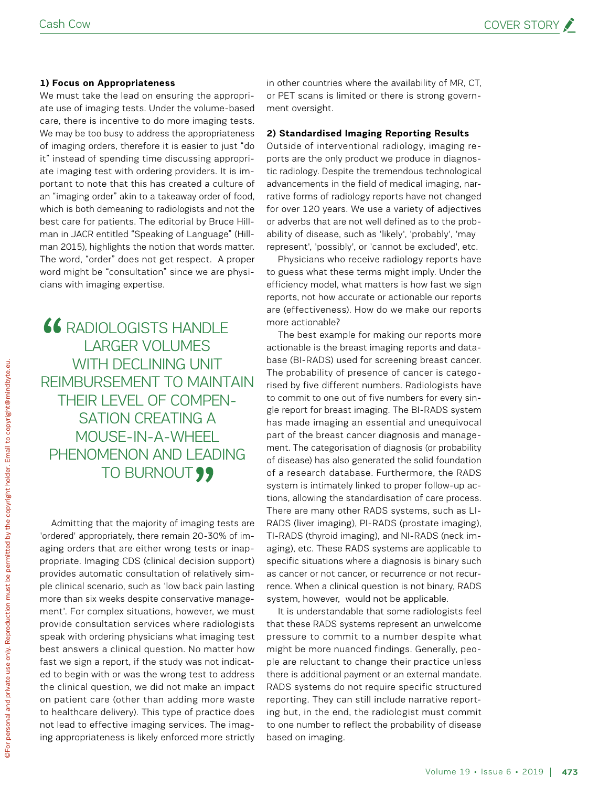#### **1) Focus on Appropriateness**

We must take the lead on ensuring the appropriate use of imaging tests. Under the volume-based care, there is incentive to do more imaging tests. We may be too busy to address the appropriateness of imaging orders, therefore it is easier to just "do it" instead of spending time discussing appropriate imaging test with ordering providers. It is important to note that this has created a culture of an "imaging order" akin to a takeaway order of food, which is both demeaning to radiologists and not the best care for patients. The editorial by Bruce Hillman in JACR entitled "Speaking of Language" (Hillman 2015), highlights the notion that words matter. The word, "order" does not get respect. A proper word might be "consultation" since we are physicians with imaging expertise.

**66 RADIOLOGISTS HANDLE** larger volumes WITH DECLINING UNIT reimbursement to maintain their level of compensation creating a mouse-in-a-wheel phenomenon and leading TO BURNOUT ??

Admitting that the majority of imaging tests are 'ordered' appropriately, there remain 20-30% of imaging orders that are either wrong tests or inappropriate. Imaging CDS (clinical decision support) provides automatic consultation of relatively simple clinical scenario, such as 'low back pain lasting more than six weeks despite conservative management'. For complex situations, however, we must provide consultation services where radiologists speak with ordering physicians what imaging test best answers a clinical question. No matter how fast we sign a report, if the study was not indicated to begin with or was the wrong test to address the clinical question, we did not make an impact on patient care (other than adding more waste to healthcare delivery). This type of practice does not lead to effective imaging services. The imaging appropriateness is likely enforced more strictly

in other countries where the availability of MR, CT, or PET scans is limited or there is strong government oversight.

#### **2) Standardised Imaging Reporting Results**

Outside of interventional radiology, imaging reports are the only product we produce in diagnostic radiology. Despite the tremendous technological advancements in the field of medical imaging, narrative forms of radiology reports have not changed for over 120 years. We use a variety of adjectives or adverbs that are not well defined as to the probability of disease, such as 'likely', 'probably', 'may represent', 'possibly', or 'cannot be excluded', etc.

Physicians who receive radiology reports have to guess what these terms might imply. Under the efficiency model, what matters is how fast we sign reports, not how accurate or actionable our reports are (effectiveness). How do we make our reports more actionable?

The best example for making our reports more actionable is the breast imaging reports and database (BI-RADS) used for screening breast cancer. The probability of presence of cancer is categorised by five different numbers. Radiologists have to commit to one out of five numbers for every single report for breast imaging. The BI-RADS system has made imaging an essential and unequivocal part of the breast cancer diagnosis and management. The categorisation of diagnosis (or probability of disease) has also generated the solid foundation of a research database. Furthermore, the RADS system is intimately linked to proper follow-up actions, allowing the standardisation of care process. There are many other RADS systems, such as LI-RADS (liver imaging), PI-RADS (prostate imaging), TI-RADS (thyroid imaging), and NI-RADS (neck imaging), etc. These RADS systems are applicable to specific situations where a diagnosis is binary such as cancer or not cancer, or recurrence or not recurrence. When a clinical question is not binary, RADS system, however, would not be applicable.

It is understandable that some radiologists feel that these RADS systems represent an unwelcome pressure to commit to a number despite what might be more nuanced findings. Generally, people are reluctant to change their practice unless there is additional payment or an external mandate. RADS systems do not require specific structured reporting. They can still include narrative reporting but, in the end, the radiologist must commit to one number to reflect the probability of disease based on imaging.